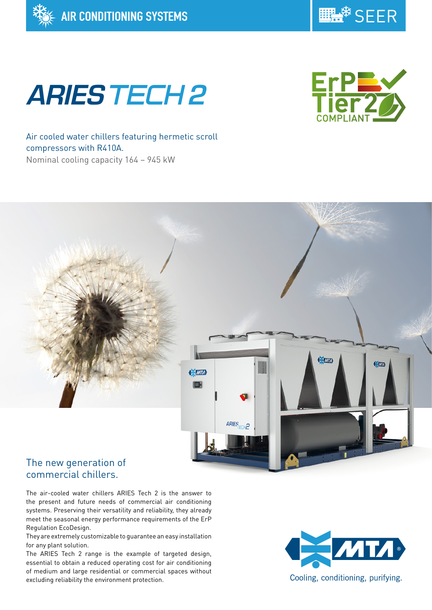



# **ARIES TECH 2**



Air cooled water chillers featuring hermetic scroll compressors with R410A. Nominal cooling capacity 164 – 945 kW



## commercial chillers.

The air-cooled water chillers ARIES Tech 2 is the answer to the present and future needs of commercial air conditioning systems. Preserving their versatility and reliability, they already meet the seasonal energy performance requirements of the ErP Regulation EcoDesign.

They are extremely customizable to guarantee an easy installation for any plant solution.

The ARIES Tech 2 range is the example of targeted design, essential to obtain a reduced operating cost for air conditioning of medium and large residential or commercial spaces without excluding reliability the environment protection.